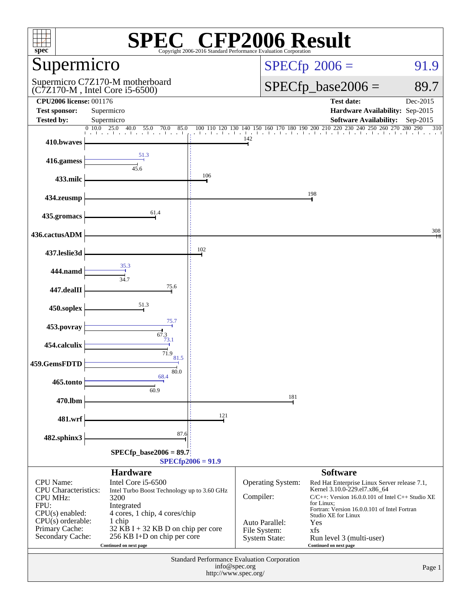| $\mathbb{C}^{\circledast}$ CFP2006 Result<br>$spec^*$<br>Copyright 2006-2016 Standard Performance Evaluation Corporation                                |                                                                                                                                        |                  |                                                        |                                                                                                                                                                                                     |          |
|---------------------------------------------------------------------------------------------------------------------------------------------------------|----------------------------------------------------------------------------------------------------------------------------------------|------------------|--------------------------------------------------------|-----------------------------------------------------------------------------------------------------------------------------------------------------------------------------------------------------|----------|
| Supermicro                                                                                                                                              |                                                                                                                                        |                  | $SPECfp^{\circ}2006 =$                                 | 91.9                                                                                                                                                                                                |          |
|                                                                                                                                                         | Supermicro C7Z170-M motherboard<br>$(C7Z170-M$ , Intel Core i5-6500)                                                                   |                  | $SPECfp\_base2006 =$                                   | 89.7                                                                                                                                                                                                |          |
| <b>CPU2006 license: 001176</b><br><b>Test sponsor:</b>                                                                                                  | Supermicro                                                                                                                             |                  |                                                        | <b>Test date:</b><br>Hardware Availability: Sep-2015                                                                                                                                                | Dec-2015 |
| <b>Tested by:</b>                                                                                                                                       | Supermicro                                                                                                                             |                  |                                                        | <b>Software Availability:</b>                                                                                                                                                                       | Sep-2015 |
| 410.bwaves                                                                                                                                              | 25.0<br>40.0<br>0, 10, 0<br>55.0<br>85.0<br>70.0<br>and a search and the continues of                                                  | than that the TC | 100 110 120 130 140 150 160 170 180 190<br>142         | 200 210 220<br>230 240 250 260 270 280 290                                                                                                                                                          | 310      |
| 416.gamess                                                                                                                                              | 51.3<br>45.6                                                                                                                           |                  |                                                        |                                                                                                                                                                                                     |          |
| 433.milc                                                                                                                                                |                                                                                                                                        | 106              |                                                        |                                                                                                                                                                                                     |          |
| 434.zeusmp                                                                                                                                              |                                                                                                                                        |                  |                                                        | 198                                                                                                                                                                                                 |          |
| 435.gromacs                                                                                                                                             | 61.4                                                                                                                                   |                  |                                                        |                                                                                                                                                                                                     |          |
| 436.cactusADM                                                                                                                                           |                                                                                                                                        |                  |                                                        |                                                                                                                                                                                                     | 308      |
| 437.leslie3d                                                                                                                                            |                                                                                                                                        | 102              |                                                        |                                                                                                                                                                                                     |          |
| 444.namd                                                                                                                                                | 35.3<br>34.7                                                                                                                           |                  |                                                        |                                                                                                                                                                                                     |          |
| 447.dealII                                                                                                                                              | 75.6                                                                                                                                   |                  |                                                        |                                                                                                                                                                                                     |          |
| 450.soplex                                                                                                                                              | 51.3                                                                                                                                   |                  |                                                        |                                                                                                                                                                                                     |          |
| 453.povray                                                                                                                                              | 75.7<br>67.3                                                                                                                           |                  |                                                        |                                                                                                                                                                                                     |          |
| 454.calculix                                                                                                                                            | 73.1<br>71.9                                                                                                                           |                  |                                                        |                                                                                                                                                                                                     |          |
| 459.GemsFDTD                                                                                                                                            | 81.5                                                                                                                                   |                  |                                                        |                                                                                                                                                                                                     |          |
| 465.tonto                                                                                                                                               | 80.0<br>68.4<br>60.9                                                                                                                   |                  |                                                        |                                                                                                                                                                                                     |          |
| 470.lbm                                                                                                                                                 |                                                                                                                                        |                  | 181                                                    |                                                                                                                                                                                                     |          |
| 481.wrf                                                                                                                                                 |                                                                                                                                        | 121              |                                                        |                                                                                                                                                                                                     |          |
| 482.sphinx3                                                                                                                                             | 87.6                                                                                                                                   |                  |                                                        |                                                                                                                                                                                                     |          |
| $SPECfp\_base2006 = 89.7$<br>$SPECfp2006 = 91.9$                                                                                                        |                                                                                                                                        |                  |                                                        |                                                                                                                                                                                                     |          |
|                                                                                                                                                         | <b>Hardware</b>                                                                                                                        |                  |                                                        | <b>Software</b>                                                                                                                                                                                     |          |
| CPU Name:<br>Intel Core i5-6500<br><b>CPU</b> Characteristics:<br>Intel Turbo Boost Technology up to 3.60 GHz<br>CPU MHz:<br>3200<br>FPU:<br>Integrated |                                                                                                                                        |                  | <b>Operating System:</b><br>Compiler:                  | Red Hat Enterprise Linux Server release 7.1,<br>Kernel 3.10.0-229.el7.x86_64<br>$C/C++$ : Version 16.0.0.101 of Intel $C++$ Studio XE<br>for Linux;<br>Fortran: Version 16.0.0.101 of Intel Fortran |          |
| $CPU(s)$ enabled:<br>$CPU(s)$ orderable:<br>Primary Cache:<br>Secondary Cache:                                                                          | 4 cores, 1 chip, 4 cores/chip<br>1 chip<br>32 KB I + 32 KB D on chip per core<br>256 KB I+D on chip per core<br>Continued on next page |                  | Auto Parallel:<br>File System:<br><b>System State:</b> | Studio XE for Linux<br>Yes<br>xfs<br>Run level 3 (multi-user)<br>Continued on next page                                                                                                             |          |
| Standard Performance Evaluation Corporation<br>info@spec.org<br>Page 1<br>http://www.spec.org/                                                          |                                                                                                                                        |                  |                                                        |                                                                                                                                                                                                     |          |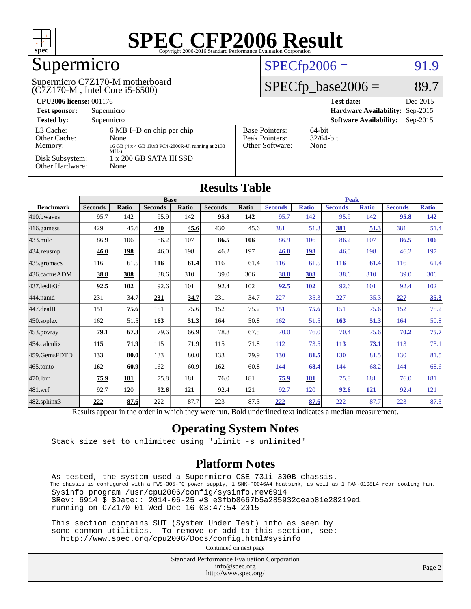

# Supermicro

#### (C7Z170-M , Intel Core i5-6500) Supermicro C7Z170-M motherboard

#### $SPECfp2006 = 91.9$  $SPECfp2006 = 91.9$

#### $SPECfp\_base2006 = 89.7$

| <b>CPU2006 license: 001176</b>       |                                                                                                          |                                                            | <b>Test date:</b><br>Dec-2015               |
|--------------------------------------|----------------------------------------------------------------------------------------------------------|------------------------------------------------------------|---------------------------------------------|
| <b>Test sponsor:</b>                 | Supermicro                                                                                               |                                                            | Hardware Availability: Sep-2015             |
| <b>Tested by:</b>                    | Supermicro                                                                                               |                                                            | <b>Software Availability:</b><br>$Sep-2015$ |
| L3 Cache:<br>Other Cache:<br>Memory: | $6 \text{ MB I+D}$ on chip per chip<br>None<br>16 GB (4 x 4 GB 1Rx8 PC4-2800R-U, running at 2133<br>MHZ) | <b>Base Pointers:</b><br>Peak Pointers:<br>Other Software: | $64$ -bit<br>$32/64$ -bit<br>None           |
| Disk Subsystem:<br>Other Hardware:   | 1 x 200 GB SATA III SSD<br>None                                                                          |                                                            |                                             |

| <b>Results Table</b>   |                |                               |                |         |                |              |                        |                             |                |              |                |              |
|------------------------|----------------|-------------------------------|----------------|---------|----------------|--------------|------------------------|-----------------------------|----------------|--------------|----------------|--------------|
|                        | <b>Base</b>    |                               |                |         |                | <b>Peak</b>  |                        |                             |                |              |                |              |
| <b>Benchmark</b>       | <b>Seconds</b> | <b>Ratio</b>                  | <b>Seconds</b> | Ratio   | <b>Seconds</b> | <b>Ratio</b> | <b>Seconds</b>         | <b>Ratio</b>                | <b>Seconds</b> | <b>Ratio</b> | <b>Seconds</b> | <b>Ratio</b> |
| 410.bwayes             | 95.7           | 142                           | 95.9           | 142     | 95.8           | 142          | 95.7                   | 142                         | 95.9           | 142          | 95.8           | <u>142</u>   |
| 416.gamess             | 429            | 45.6                          | 430            | 45.6    | 430            | 45.6         | 381                    | 51.3                        | 381            | 51.3         | 381            | 51.4         |
| $433$ .milc            | 86.9           | 106                           | 86.2           | 107     | 86.5           | 106          | 86.9                   | 106                         | 86.2           | 107          | 86.5           | <u>106</u>   |
| 434.zeusmp             | 46.0           | 198                           | 46.0           | 198     | 46.2           | 197          | 46.0                   | 198                         | 46.0           | 198          | 46.2           | 197          |
| 435.gromacs            | 116            | 61.5                          | 116            | 61.4    | 116            | 61.4         | 116                    | 61.5                        | 116            | 61.4         | 116            | 61.4         |
| 436.cactusADM          | 38.8           | 308                           | 38.6           | 310     | 39.0           | 306          | 38.8                   | 308                         | 38.6           | 310          | 39.0           | 306          |
| 437.leslie3d           | 92.5           | 102                           | 92.6           | 101     | 92.4           | 102          | 92.5                   | 102                         | 92.6           | 101          | 92.4           | 102          |
| 444.namd               | 231            | 34.7                          | 231            | 34.7    | 231            | 34.7         | 227                    | 35.3                        | 227            | 35.3         | 227            | 35.3         |
| $ 447 \text{.}$ dealII | 151            | 75.6                          | 151            | 75.6    | 152            | 75.2         | 151                    | 75.6                        | 151            | 75.6         | 152            | 75.2         |
| $450$ .soplex          | 162            | 51.5                          | <u>163</u>     | 51.3    | 164            | 50.8         | 162                    | 51.5                        | 163            | 51.3         | 164            | 50.8         |
| $ 453$ . povray        | 79.1           | 67.3                          | 79.6           | 66.9    | 78.8           | 67.5         | 70.0                   | 76.0                        | 70.4           | 75.6         | 70.2           | 75.7         |
| $454$ .calculix        | 115            | 71.9                          | 115            | 71.9    | 115            | 71.8         | 112                    | 73.5                        | 113            | 73.1         | 113            | 73.1         |
| 459.GemsFDTD           | 133            | 80.0                          | 133            | 80.0    | 133            | 79.9         | <b>130</b>             | 81.5                        | 130            | 81.5         | 130            | 81.5         |
| $465$ .tonto           | 162            | 60.9                          | 162            | 60.9    | 162            | 60.8         | 144                    | 68.4                        | 144            | 68.2         | 144            | 68.6         |
| 470.1bm                | 75.9           | 181                           | 75.8           | 181     | 76.0           | 181          | 75.9                   | 181                         | 75.8           | 181          | 76.0           | 181          |
| $ 481$ .wrf            | 92.7           | 120                           | 92.6           | 121     | 92.4           | 121          | 92.7                   | 120                         | 92.6           | <u>121</u>   | 92.4           | 121          |
| $482$ .sphinx $3$      | 222            | 87.6                          | 222            | 87.7    | 223            | 87.3         | 222                    | 87.6                        | 222            | 87.7         | 223            | 87.3         |
| $\mathbf{r}$           | $\mathbf{1}$ . | $\bullet$ $\bullet$ $\bullet$ | $\sim$ $\sim$  | 1.1.1.1 |                | $T = 11$     | 1.11<br>$\blacksquare$ | $\sim$ $\sim$ $\sim$ $\sim$ | $\cdot$        |              |                |              |

#### Results appear in the [order in which they were run.](http://www.spec.org/auto/cpu2006/Docs/result-fields.html#RunOrder) Bold underlined text [indicates a median measurement.](http://www.spec.org/auto/cpu2006/Docs/result-fields.html#Median)

#### **[Operating System Notes](http://www.spec.org/auto/cpu2006/Docs/result-fields.html#OperatingSystemNotes)**

Stack size set to unlimited using "ulimit -s unlimited"

#### **[Platform Notes](http://www.spec.org/auto/cpu2006/Docs/result-fields.html#PlatformNotes)**

 As tested, the system used a Supermicro CSE-731i-300B chassis. The chassis is confugured with a PWS-305-PQ power supply, 1 SNK-P0046A4 heatsink, as well as 1 FAN-0108L4 rear cooling fan. Sysinfo program /usr/cpu2006/config/sysinfo.rev6914 \$Rev: 6914 \$ \$Date:: 2014-06-25 #\$ e3fbb8667b5a285932ceab81e28219e1 running on C7Z170-01 Wed Dec 16 03:47:54 2015

 This section contains SUT (System Under Test) info as seen by some common utilities. To remove or add to this section, see: <http://www.spec.org/cpu2006/Docs/config.html#sysinfo>

Continued on next page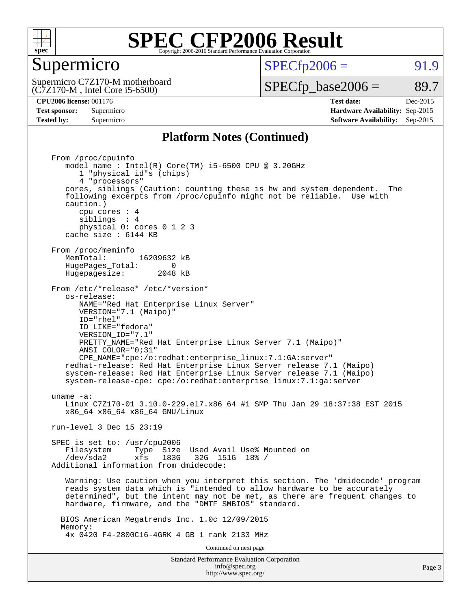

#### Supermicro

 $SPECTp2006 = 91.9$ 

(C7Z170-M , Intel Core i5-6500) Supermicro C7Z170-M motherboard

 $SPECTp\_base2006 = 89.7$ 

**[CPU2006 license:](http://www.spec.org/auto/cpu2006/Docs/result-fields.html#CPU2006license)** 001176 **[Test date:](http://www.spec.org/auto/cpu2006/Docs/result-fields.html#Testdate)** Dec-2015 **[Test sponsor:](http://www.spec.org/auto/cpu2006/Docs/result-fields.html#Testsponsor)** Supermicro **[Hardware Availability:](http://www.spec.org/auto/cpu2006/Docs/result-fields.html#HardwareAvailability)** Sep-2015 **[Tested by:](http://www.spec.org/auto/cpu2006/Docs/result-fields.html#Testedby)** Supermicro **Supermicro [Software Availability:](http://www.spec.org/auto/cpu2006/Docs/result-fields.html#SoftwareAvailability)** Sep-2015

#### **[Platform Notes \(Continued\)](http://www.spec.org/auto/cpu2006/Docs/result-fields.html#PlatformNotes)**

Standard Performance Evaluation Corporation [info@spec.org](mailto:info@spec.org) From /proc/cpuinfo model name : Intel(R) Core(TM) i5-6500 CPU @ 3.20GHz 1 "physical id"s (chips) 4 "processors" cores, siblings (Caution: counting these is hw and system dependent. The following excerpts from /proc/cpuinfo might not be reliable. Use with caution.) cpu cores : 4 siblings : 4 physical 0: cores 0 1 2 3 cache size : 6144 KB From /proc/meminfo<br>MemTotal: 16209632 kB HugePages\_Total: 0<br>Hugepagesize: 2048 kB Hugepagesize: From /etc/\*release\* /etc/\*version\* os-release: NAME="Red Hat Enterprise Linux Server" VERSION="7.1 (Maipo)" ID="rhel" ID\_LIKE="fedora" VERSION\_ID="7.1" PRETTY\_NAME="Red Hat Enterprise Linux Server 7.1 (Maipo)" ANSI\_COLOR="0;31" CPE\_NAME="cpe:/o:redhat:enterprise\_linux:7.1:GA:server" redhat-release: Red Hat Enterprise Linux Server release 7.1 (Maipo) system-release: Red Hat Enterprise Linux Server release 7.1 (Maipo) system-release-cpe: cpe:/o:redhat:enterprise\_linux:7.1:ga:server uname -a: Linux C7Z170-01 3.10.0-229.el7.x86\_64 #1 SMP Thu Jan 29 18:37:38 EST 2015 x86\_64 x86\_64 x86\_64 GNU/Linux run-level 3 Dec 15 23:19 SPEC is set to: /usr/cpu2006 Filesystem Type Size Used Avail Use% Mounted on<br>(dec/ada) = refer 1996 1996 1510 198 / /dev/sda2 xfs 183G 32G 151G 18% / Additional information from dmidecode: Warning: Use caution when you interpret this section. The 'dmidecode' program reads system data which is "intended to allow hardware to be accurately determined", but the intent may not be met, as there are frequent changes to hardware, firmware, and the "DMTF SMBIOS" standard. BIOS American Megatrends Inc. 1.0c 12/09/2015 Memory: 4x 0420 F4-2800C16-4GRK 4 GB 1 rank 2133 MHz Continued on next page

<http://www.spec.org/>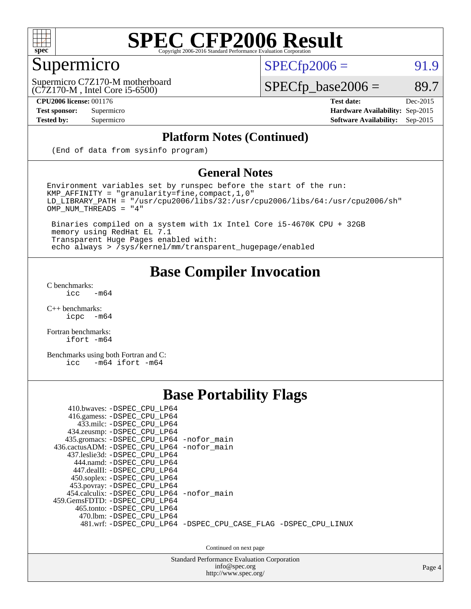

#### Supermicro

 $SPECTp2006 = 91.9$ 

(C7Z170-M , Intel Core i5-6500) Supermicro C7Z170-M motherboard

**[CPU2006 license:](http://www.spec.org/auto/cpu2006/Docs/result-fields.html#CPU2006license)** 001176 **[Test date:](http://www.spec.org/auto/cpu2006/Docs/result-fields.html#Testdate)** Dec-2015

 $SPECfp\_base2006 = 89.7$ 

**[Test sponsor:](http://www.spec.org/auto/cpu2006/Docs/result-fields.html#Testsponsor)** Supermicro **[Hardware Availability:](http://www.spec.org/auto/cpu2006/Docs/result-fields.html#HardwareAvailability)** Sep-2015 **[Tested by:](http://www.spec.org/auto/cpu2006/Docs/result-fields.html#Testedby)** Supermicro **Supermicro [Software Availability:](http://www.spec.org/auto/cpu2006/Docs/result-fields.html#SoftwareAvailability)** Sep-2015

#### **[Platform Notes \(Continued\)](http://www.spec.org/auto/cpu2006/Docs/result-fields.html#PlatformNotes)**

(End of data from sysinfo program)

#### **[General Notes](http://www.spec.org/auto/cpu2006/Docs/result-fields.html#GeneralNotes)**

Environment variables set by runspec before the start of the run: KMP\_AFFINITY = "granularity=fine,compact,1,0"  $LD$ \_LIBRARY\_PATH = "/usr/cpu2006/libs/32:/usr/cpu2006/libs/64:/usr/cpu2006/sh"  $OMP_NUM_THREADS = "4"$ 

 Binaries compiled on a system with 1x Intel Core i5-4670K CPU + 32GB memory using RedHat EL 7.1 Transparent Huge Pages enabled with: echo always > /sys/kernel/mm/transparent\_hugepage/enabled

#### **[Base Compiler Invocation](http://www.spec.org/auto/cpu2006/Docs/result-fields.html#BaseCompilerInvocation)**

[C benchmarks](http://www.spec.org/auto/cpu2006/Docs/result-fields.html#Cbenchmarks):  $\text{icc}$  -m64

 $C++$  benchmarks:<br>icpc  $-m$ -m64

[Fortran benchmarks](http://www.spec.org/auto/cpu2006/Docs/result-fields.html#Fortranbenchmarks): [ifort -m64](http://www.spec.org/cpu2006/results/res2016q1/cpu2006-20151217-38442.flags.html#user_FCbase_intel_ifort_64bit_ee9d0fb25645d0210d97eb0527dcc06e)

[Benchmarks using both Fortran and C](http://www.spec.org/auto/cpu2006/Docs/result-fields.html#BenchmarksusingbothFortranandC): [icc -m64](http://www.spec.org/cpu2006/results/res2016q1/cpu2006-20151217-38442.flags.html#user_CC_FCbase_intel_icc_64bit_0b7121f5ab7cfabee23d88897260401c) [ifort -m64](http://www.spec.org/cpu2006/results/res2016q1/cpu2006-20151217-38442.flags.html#user_CC_FCbase_intel_ifort_64bit_ee9d0fb25645d0210d97eb0527dcc06e)

#### **[Base Portability Flags](http://www.spec.org/auto/cpu2006/Docs/result-fields.html#BasePortabilityFlags)**

| 410.bwaves: -DSPEC CPU LP64<br>416.gamess: -DSPEC_CPU_LP64<br>433.milc: -DSPEC CPU LP64<br>434.zeusmp: - DSPEC_CPU_LP64<br>435.gromacs: -DSPEC_CPU_LP64 -nofor_main<br>436.cactusADM: -DSPEC CPU LP64 -nofor main<br>437.leslie3d: -DSPEC CPU LP64<br>444.namd: -DSPEC CPU LP64<br>447.dealII: -DSPEC CPU LP64 |                                                                |
|----------------------------------------------------------------------------------------------------------------------------------------------------------------------------------------------------------------------------------------------------------------------------------------------------------------|----------------------------------------------------------------|
| 450.soplex: -DSPEC_CPU_LP64<br>453.povray: -DSPEC_CPU_LP64<br>454.calculix: - DSPEC CPU LP64 - nofor main<br>459. GemsFDTD: - DSPEC CPU LP64<br>465.tonto: -DSPEC CPU LP64<br>470.1bm: - DSPEC CPU LP64                                                                                                        | 481.wrf: -DSPEC CPU_LP64 -DSPEC_CPU_CASE_FLAG -DSPEC_CPU_LINUX |

Continued on next page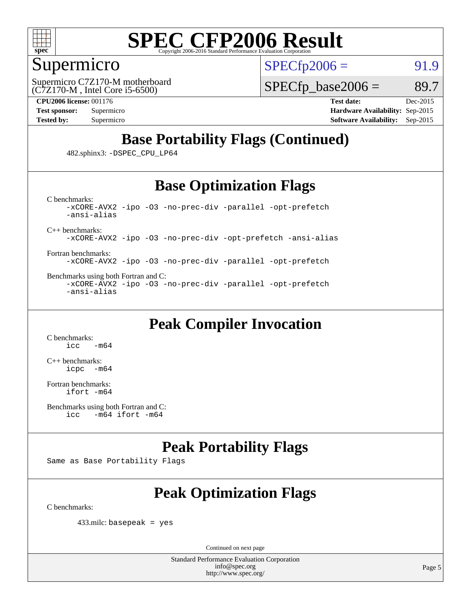

#### Supermicro

 $SPECTp2006 = 91.9$ 

(C7Z170-M , Intel Core i5-6500) Supermicro C7Z170-M motherboard

 $SPECTp\_base2006 = 89.7$ 

**[CPU2006 license:](http://www.spec.org/auto/cpu2006/Docs/result-fields.html#CPU2006license)** 001176 **[Test date:](http://www.spec.org/auto/cpu2006/Docs/result-fields.html#Testdate)** Dec-2015 **[Test sponsor:](http://www.spec.org/auto/cpu2006/Docs/result-fields.html#Testsponsor)** Supermicro **[Hardware Availability:](http://www.spec.org/auto/cpu2006/Docs/result-fields.html#HardwareAvailability)** Sep-2015 **[Tested by:](http://www.spec.org/auto/cpu2006/Docs/result-fields.html#Testedby)** Supermicro **Supermicro [Software Availability:](http://www.spec.org/auto/cpu2006/Docs/result-fields.html#SoftwareAvailability)** Sep-2015

### **[Base Portability Flags \(Continued\)](http://www.spec.org/auto/cpu2006/Docs/result-fields.html#BasePortabilityFlags)**

482.sphinx3: [-DSPEC\\_CPU\\_LP64](http://www.spec.org/cpu2006/results/res2016q1/cpu2006-20151217-38442.flags.html#suite_basePORTABILITY482_sphinx3_DSPEC_CPU_LP64)

#### **[Base Optimization Flags](http://www.spec.org/auto/cpu2006/Docs/result-fields.html#BaseOptimizationFlags)**

[C benchmarks](http://www.spec.org/auto/cpu2006/Docs/result-fields.html#Cbenchmarks): [-xCORE-AVX2](http://www.spec.org/cpu2006/results/res2016q1/cpu2006-20151217-38442.flags.html#user_CCbase_f-xAVX2_5f5fc0cbe2c9f62c816d3e45806c70d7) [-ipo](http://www.spec.org/cpu2006/results/res2016q1/cpu2006-20151217-38442.flags.html#user_CCbase_f-ipo) [-O3](http://www.spec.org/cpu2006/results/res2016q1/cpu2006-20151217-38442.flags.html#user_CCbase_f-O3) [-no-prec-div](http://www.spec.org/cpu2006/results/res2016q1/cpu2006-20151217-38442.flags.html#user_CCbase_f-no-prec-div) [-parallel](http://www.spec.org/cpu2006/results/res2016q1/cpu2006-20151217-38442.flags.html#user_CCbase_f-parallel) [-opt-prefetch](http://www.spec.org/cpu2006/results/res2016q1/cpu2006-20151217-38442.flags.html#user_CCbase_f-opt-prefetch) [-ansi-alias](http://www.spec.org/cpu2006/results/res2016q1/cpu2006-20151217-38442.flags.html#user_CCbase_f-ansi-alias)

[C++ benchmarks:](http://www.spec.org/auto/cpu2006/Docs/result-fields.html#CXXbenchmarks)

[-xCORE-AVX2](http://www.spec.org/cpu2006/results/res2016q1/cpu2006-20151217-38442.flags.html#user_CXXbase_f-xAVX2_5f5fc0cbe2c9f62c816d3e45806c70d7) [-ipo](http://www.spec.org/cpu2006/results/res2016q1/cpu2006-20151217-38442.flags.html#user_CXXbase_f-ipo) [-O3](http://www.spec.org/cpu2006/results/res2016q1/cpu2006-20151217-38442.flags.html#user_CXXbase_f-O3) [-no-prec-div](http://www.spec.org/cpu2006/results/res2016q1/cpu2006-20151217-38442.flags.html#user_CXXbase_f-no-prec-div) [-opt-prefetch](http://www.spec.org/cpu2006/results/res2016q1/cpu2006-20151217-38442.flags.html#user_CXXbase_f-opt-prefetch) [-ansi-alias](http://www.spec.org/cpu2006/results/res2016q1/cpu2006-20151217-38442.flags.html#user_CXXbase_f-ansi-alias)

[Fortran benchmarks](http://www.spec.org/auto/cpu2006/Docs/result-fields.html#Fortranbenchmarks): [-xCORE-AVX2](http://www.spec.org/cpu2006/results/res2016q1/cpu2006-20151217-38442.flags.html#user_FCbase_f-xAVX2_5f5fc0cbe2c9f62c816d3e45806c70d7) [-ipo](http://www.spec.org/cpu2006/results/res2016q1/cpu2006-20151217-38442.flags.html#user_FCbase_f-ipo) [-O3](http://www.spec.org/cpu2006/results/res2016q1/cpu2006-20151217-38442.flags.html#user_FCbase_f-O3) [-no-prec-div](http://www.spec.org/cpu2006/results/res2016q1/cpu2006-20151217-38442.flags.html#user_FCbase_f-no-prec-div) [-parallel](http://www.spec.org/cpu2006/results/res2016q1/cpu2006-20151217-38442.flags.html#user_FCbase_f-parallel) [-opt-prefetch](http://www.spec.org/cpu2006/results/res2016q1/cpu2006-20151217-38442.flags.html#user_FCbase_f-opt-prefetch)

[Benchmarks using both Fortran and C](http://www.spec.org/auto/cpu2006/Docs/result-fields.html#BenchmarksusingbothFortranandC): [-xCORE-AVX2](http://www.spec.org/cpu2006/results/res2016q1/cpu2006-20151217-38442.flags.html#user_CC_FCbase_f-xAVX2_5f5fc0cbe2c9f62c816d3e45806c70d7) [-ipo](http://www.spec.org/cpu2006/results/res2016q1/cpu2006-20151217-38442.flags.html#user_CC_FCbase_f-ipo) [-O3](http://www.spec.org/cpu2006/results/res2016q1/cpu2006-20151217-38442.flags.html#user_CC_FCbase_f-O3) [-no-prec-div](http://www.spec.org/cpu2006/results/res2016q1/cpu2006-20151217-38442.flags.html#user_CC_FCbase_f-no-prec-div) [-parallel](http://www.spec.org/cpu2006/results/res2016q1/cpu2006-20151217-38442.flags.html#user_CC_FCbase_f-parallel) [-opt-prefetch](http://www.spec.org/cpu2006/results/res2016q1/cpu2006-20151217-38442.flags.html#user_CC_FCbase_f-opt-prefetch) [-ansi-alias](http://www.spec.org/cpu2006/results/res2016q1/cpu2006-20151217-38442.flags.html#user_CC_FCbase_f-ansi-alias)

### **[Peak Compiler Invocation](http://www.spec.org/auto/cpu2006/Docs/result-fields.html#PeakCompilerInvocation)**

[C benchmarks](http://www.spec.org/auto/cpu2006/Docs/result-fields.html#Cbenchmarks):  $-m64$ 

[C++ benchmarks:](http://www.spec.org/auto/cpu2006/Docs/result-fields.html#CXXbenchmarks) [icpc -m64](http://www.spec.org/cpu2006/results/res2016q1/cpu2006-20151217-38442.flags.html#user_CXXpeak_intel_icpc_64bit_bedb90c1146cab66620883ef4f41a67e)

[Fortran benchmarks](http://www.spec.org/auto/cpu2006/Docs/result-fields.html#Fortranbenchmarks): [ifort -m64](http://www.spec.org/cpu2006/results/res2016q1/cpu2006-20151217-38442.flags.html#user_FCpeak_intel_ifort_64bit_ee9d0fb25645d0210d97eb0527dcc06e)

```
Benchmarks using both Fortran and C: 
icc -m64 ifort -m64
```
### **[Peak Portability Flags](http://www.spec.org/auto/cpu2006/Docs/result-fields.html#PeakPortabilityFlags)**

Same as Base Portability Flags

### **[Peak Optimization Flags](http://www.spec.org/auto/cpu2006/Docs/result-fields.html#PeakOptimizationFlags)**

[C benchmarks](http://www.spec.org/auto/cpu2006/Docs/result-fields.html#Cbenchmarks):

433.milc: basepeak = yes

Continued on next page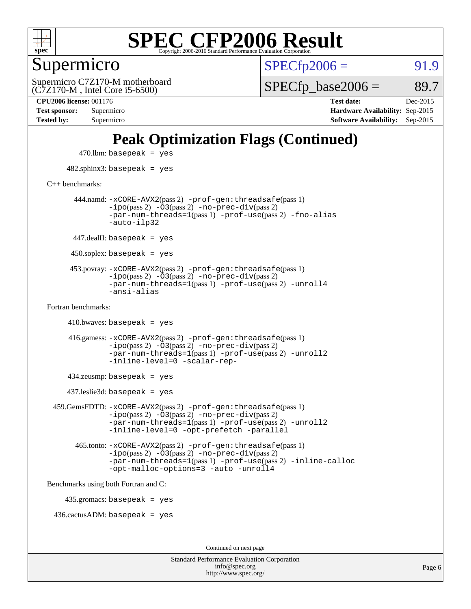

#### Supermicro

 $SPECTp2006 = 91.9$ 

(C7Z170-M , Intel Core i5-6500) Supermicro C7Z170-M motherboard  $SPECTp\_base2006 = 89.7$ 

**[CPU2006 license:](http://www.spec.org/auto/cpu2006/Docs/result-fields.html#CPU2006license)** 001176 **[Test date:](http://www.spec.org/auto/cpu2006/Docs/result-fields.html#Testdate)** Dec-2015 **[Test sponsor:](http://www.spec.org/auto/cpu2006/Docs/result-fields.html#Testsponsor)** Supermicro **[Hardware Availability:](http://www.spec.org/auto/cpu2006/Docs/result-fields.html#HardwareAvailability)** Sep-2015 **[Tested by:](http://www.spec.org/auto/cpu2006/Docs/result-fields.html#Testedby)** Supermicro **[Software Availability:](http://www.spec.org/auto/cpu2006/Docs/result-fields.html#SoftwareAvailability)** Sep-2015

### **[Peak Optimization Flags \(Continued\)](http://www.spec.org/auto/cpu2006/Docs/result-fields.html#PeakOptimizationFlags)**

 $470$ .lbm: basepeak = yes 482.sphinx3: basepeak = yes [C++ benchmarks:](http://www.spec.org/auto/cpu2006/Docs/result-fields.html#CXXbenchmarks) 444.namd: [-xCORE-AVX2](http://www.spec.org/cpu2006/results/res2016q1/cpu2006-20151217-38442.flags.html#user_peakPASS2_CXXFLAGSPASS2_LDFLAGS444_namd_f-xAVX2_5f5fc0cbe2c9f62c816d3e45806c70d7)(pass 2) [-prof-gen:threadsafe](http://www.spec.org/cpu2006/results/res2016q1/cpu2006-20151217-38442.flags.html#user_peakPASS1_CXXFLAGSPASS1_LDFLAGS444_namd_prof_gen_21a26eb79f378b550acd7bec9fe4467a)(pass 1)  $-i\text{po}(pass 2) -\overline{0}3(pass 2) -no-prec-div(pass 2)$  $-i\text{po}(pass 2) -\overline{0}3(pass 2) -no-prec-div(pass 2)$  $-i\text{po}(pass 2) -\overline{0}3(pass 2) -no-prec-div(pass 2)$ [-par-num-threads=1](http://www.spec.org/cpu2006/results/res2016q1/cpu2006-20151217-38442.flags.html#user_peakPASS1_CXXFLAGSPASS1_LDFLAGS444_namd_par_num_threads_786a6ff141b4e9e90432e998842df6c2)(pass 1) [-prof-use](http://www.spec.org/cpu2006/results/res2016q1/cpu2006-20151217-38442.flags.html#user_peakPASS2_CXXFLAGSPASS2_LDFLAGS444_namd_prof_use_bccf7792157ff70d64e32fe3e1250b55)(pass 2) [-fno-alias](http://www.spec.org/cpu2006/results/res2016q1/cpu2006-20151217-38442.flags.html#user_peakCXXOPTIMIZEOPTIMIZE444_namd_f-no-alias_694e77f6c5a51e658e82ccff53a9e63a) [-auto-ilp32](http://www.spec.org/cpu2006/results/res2016q1/cpu2006-20151217-38442.flags.html#user_peakCXXOPTIMIZE444_namd_f-auto-ilp32)  $447$ .dealII: basepeak = yes 450.soplex: basepeak = yes 453.povray: [-xCORE-AVX2](http://www.spec.org/cpu2006/results/res2016q1/cpu2006-20151217-38442.flags.html#user_peakPASS2_CXXFLAGSPASS2_LDFLAGS453_povray_f-xAVX2_5f5fc0cbe2c9f62c816d3e45806c70d7)(pass 2) [-prof-gen:threadsafe](http://www.spec.org/cpu2006/results/res2016q1/cpu2006-20151217-38442.flags.html#user_peakPASS1_CXXFLAGSPASS1_LDFLAGS453_povray_prof_gen_21a26eb79f378b550acd7bec9fe4467a)(pass 1)  $-ipo(pass 2)$  $-ipo(pass 2)$   $-03(pass 2)$   $-no-prec-div(pass 2)$  $-no-prec-div(pass 2)$ [-par-num-threads=1](http://www.spec.org/cpu2006/results/res2016q1/cpu2006-20151217-38442.flags.html#user_peakPASS1_CXXFLAGSPASS1_LDFLAGS453_povray_par_num_threads_786a6ff141b4e9e90432e998842df6c2)(pass 1) [-prof-use](http://www.spec.org/cpu2006/results/res2016q1/cpu2006-20151217-38442.flags.html#user_peakPASS2_CXXFLAGSPASS2_LDFLAGS453_povray_prof_use_bccf7792157ff70d64e32fe3e1250b55)(pass 2) [-unroll4](http://www.spec.org/cpu2006/results/res2016q1/cpu2006-20151217-38442.flags.html#user_peakCXXOPTIMIZE453_povray_f-unroll_4e5e4ed65b7fd20bdcd365bec371b81f) [-ansi-alias](http://www.spec.org/cpu2006/results/res2016q1/cpu2006-20151217-38442.flags.html#user_peakCXXOPTIMIZE453_povray_f-ansi-alias) [Fortran benchmarks](http://www.spec.org/auto/cpu2006/Docs/result-fields.html#Fortranbenchmarks):  $410.bwaves: basepeak = yes$  416.gamess: [-xCORE-AVX2](http://www.spec.org/cpu2006/results/res2016q1/cpu2006-20151217-38442.flags.html#user_peakPASS2_FFLAGSPASS2_LDFLAGS416_gamess_f-xAVX2_5f5fc0cbe2c9f62c816d3e45806c70d7)(pass 2) [-prof-gen:threadsafe](http://www.spec.org/cpu2006/results/res2016q1/cpu2006-20151217-38442.flags.html#user_peakPASS1_FFLAGSPASS1_LDFLAGS416_gamess_prof_gen_21a26eb79f378b550acd7bec9fe4467a)(pass 1)  $-i\text{po}(pass 2)$   $-\tilde{O}3(pass 2)$   $-no-prec-div(pass 2)$  $-no-prec-div(pass 2)$ [-par-num-threads=1](http://www.spec.org/cpu2006/results/res2016q1/cpu2006-20151217-38442.flags.html#user_peakPASS1_FFLAGSPASS1_LDFLAGS416_gamess_par_num_threads_786a6ff141b4e9e90432e998842df6c2)(pass 1) [-prof-use](http://www.spec.org/cpu2006/results/res2016q1/cpu2006-20151217-38442.flags.html#user_peakPASS2_FFLAGSPASS2_LDFLAGS416_gamess_prof_use_bccf7792157ff70d64e32fe3e1250b55)(pass 2) [-unroll2](http://www.spec.org/cpu2006/results/res2016q1/cpu2006-20151217-38442.flags.html#user_peakOPTIMIZE416_gamess_f-unroll_784dae83bebfb236979b41d2422d7ec2) [-inline-level=0](http://www.spec.org/cpu2006/results/res2016q1/cpu2006-20151217-38442.flags.html#user_peakOPTIMIZE416_gamess_f-inline-level_318d07a09274ad25e8d15dbfaa68ba50) [-scalar-rep-](http://www.spec.org/cpu2006/results/res2016q1/cpu2006-20151217-38442.flags.html#user_peakOPTIMIZE416_gamess_f-disablescalarrep_abbcad04450fb118e4809c81d83c8a1d) 434.zeusmp: basepeak = yes 437.leslie3d: basepeak = yes 459.GemsFDTD: [-xCORE-AVX2](http://www.spec.org/cpu2006/results/res2016q1/cpu2006-20151217-38442.flags.html#user_peakPASS2_FFLAGSPASS2_LDFLAGS459_GemsFDTD_f-xAVX2_5f5fc0cbe2c9f62c816d3e45806c70d7)(pass 2) [-prof-gen:threadsafe](http://www.spec.org/cpu2006/results/res2016q1/cpu2006-20151217-38442.flags.html#user_peakPASS1_FFLAGSPASS1_LDFLAGS459_GemsFDTD_prof_gen_21a26eb79f378b550acd7bec9fe4467a)(pass 1)  $-i\text{po}(pass 2) -\overline{0}3(pass 2) -no-prec-div(pass 2)$  $-i\text{po}(pass 2) -\overline{0}3(pass 2) -no-prec-div(pass 2)$  $-i\text{po}(pass 2) -\overline{0}3(pass 2) -no-prec-div(pass 2)$ [-par-num-threads=1](http://www.spec.org/cpu2006/results/res2016q1/cpu2006-20151217-38442.flags.html#user_peakPASS1_FFLAGSPASS1_LDFLAGS459_GemsFDTD_par_num_threads_786a6ff141b4e9e90432e998842df6c2)(pass 1) [-prof-use](http://www.spec.org/cpu2006/results/res2016q1/cpu2006-20151217-38442.flags.html#user_peakPASS2_FFLAGSPASS2_LDFLAGS459_GemsFDTD_prof_use_bccf7792157ff70d64e32fe3e1250b55)(pass 2) [-unroll2](http://www.spec.org/cpu2006/results/res2016q1/cpu2006-20151217-38442.flags.html#user_peakOPTIMIZE459_GemsFDTD_f-unroll_784dae83bebfb236979b41d2422d7ec2) [-inline-level=0](http://www.spec.org/cpu2006/results/res2016q1/cpu2006-20151217-38442.flags.html#user_peakOPTIMIZE459_GemsFDTD_f-inline-level_318d07a09274ad25e8d15dbfaa68ba50) [-opt-prefetch](http://www.spec.org/cpu2006/results/res2016q1/cpu2006-20151217-38442.flags.html#user_peakOPTIMIZE459_GemsFDTD_f-opt-prefetch) [-parallel](http://www.spec.org/cpu2006/results/res2016q1/cpu2006-20151217-38442.flags.html#user_peakOPTIMIZE459_GemsFDTD_f-parallel) 465.tonto: [-xCORE-AVX2](http://www.spec.org/cpu2006/results/res2016q1/cpu2006-20151217-38442.flags.html#user_peakPASS2_FFLAGSPASS2_LDFLAGS465_tonto_f-xAVX2_5f5fc0cbe2c9f62c816d3e45806c70d7)(pass 2) [-prof-gen:threadsafe](http://www.spec.org/cpu2006/results/res2016q1/cpu2006-20151217-38442.flags.html#user_peakPASS1_FFLAGSPASS1_LDFLAGS465_tonto_prof_gen_21a26eb79f378b550acd7bec9fe4467a)(pass 1)  $-i\text{po}(pass 2) -\overline{O}3(pass 2)$  [-no-prec-div](http://www.spec.org/cpu2006/results/res2016q1/cpu2006-20151217-38442.flags.html#user_peakPASS2_FFLAGSPASS2_LDFLAGS465_tonto_f-no-prec-div)(pass 2) [-par-num-threads=1](http://www.spec.org/cpu2006/results/res2016q1/cpu2006-20151217-38442.flags.html#user_peakPASS1_FFLAGSPASS1_LDFLAGS465_tonto_par_num_threads_786a6ff141b4e9e90432e998842df6c2)(pass 1) [-prof-use](http://www.spec.org/cpu2006/results/res2016q1/cpu2006-20151217-38442.flags.html#user_peakPASS2_FFLAGSPASS2_LDFLAGS465_tonto_prof_use_bccf7792157ff70d64e32fe3e1250b55)(pass 2) [-inline-calloc](http://www.spec.org/cpu2006/results/res2016q1/cpu2006-20151217-38442.flags.html#user_peakOPTIMIZE465_tonto_f-inline-calloc) [-opt-malloc-options=3](http://www.spec.org/cpu2006/results/res2016q1/cpu2006-20151217-38442.flags.html#user_peakOPTIMIZE465_tonto_f-opt-malloc-options_13ab9b803cf986b4ee62f0a5998c2238) [-auto](http://www.spec.org/cpu2006/results/res2016q1/cpu2006-20151217-38442.flags.html#user_peakOPTIMIZE465_tonto_f-auto) [-unroll4](http://www.spec.org/cpu2006/results/res2016q1/cpu2006-20151217-38442.flags.html#user_peakOPTIMIZE465_tonto_f-unroll_4e5e4ed65b7fd20bdcd365bec371b81f) [Benchmarks using both Fortran and C](http://www.spec.org/auto/cpu2006/Docs/result-fields.html#BenchmarksusingbothFortranandC): 435.gromacs: basepeak = yes 436.cactusADM: basepeak = yes Continued on next page